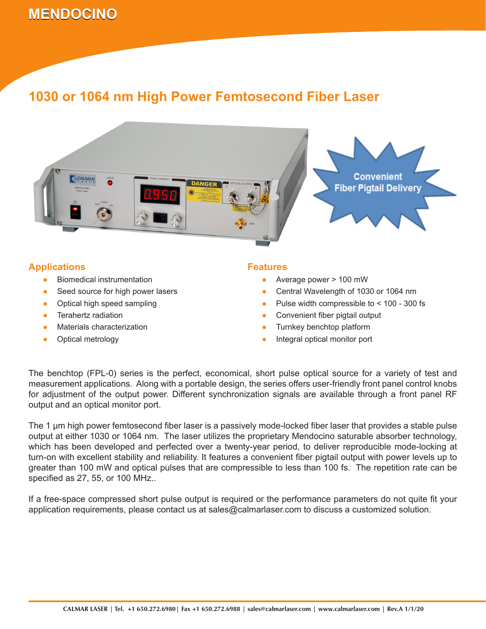# **MENDOCINO 1030 or 1064 nm High Power Femtosecond Fiber Laser**

### **1030 or 1064 nm High Power Femtosecond Fiber Laser**



### **Applications**

- Biomedical instrumentation ●
- Seed source for high power lasers ●
- Optical high speed sampling ●
- Terahertz radiation ●
- Materials characterization ●
- Optical metrology ●

#### **Features**

- Average power > 100 mW
- Central Wavelength of 1030 or 1064 nm ●
- Pulse width compressible to < 100 300 fs ●
- Convenient fiber pigtail output ●
- Turnkey benchtop platform ●
- Integral optical monitor port ●

The benchtop (FPL-0) series is the perfect, economical, short pulse optical source for a variety of test and measurement applications. Along with a portable design, the series offers user-friendly front panel control knobs for adjustment of the output power. Different synchronization signals are available through a front panel RF output and an optical monitor port.

The 1 µm high power femtosecond fiber laser is a passively mode-locked fiber laser that provides a stable pulse output at either 1030 or 1064 nm. The laser utilizes the proprietary Mendocino saturable absorber technology, which has been developed and perfected over a twenty-year period, to deliver reproducible mode-locking at turn-on with excellent stability and reliability. It features a convenient fiber pigtail output with power levels up to greater than 100 mW and optical pulses that are compressible to less than 100 fs. The repetition rate can be specified as 27, 55, or 100 MHz..

If a free-space compressed short pulse output is required or the performance parameters do not quite fit your application requirements, please contact us at sales@calmarlaser.com to discuss a customized solution.